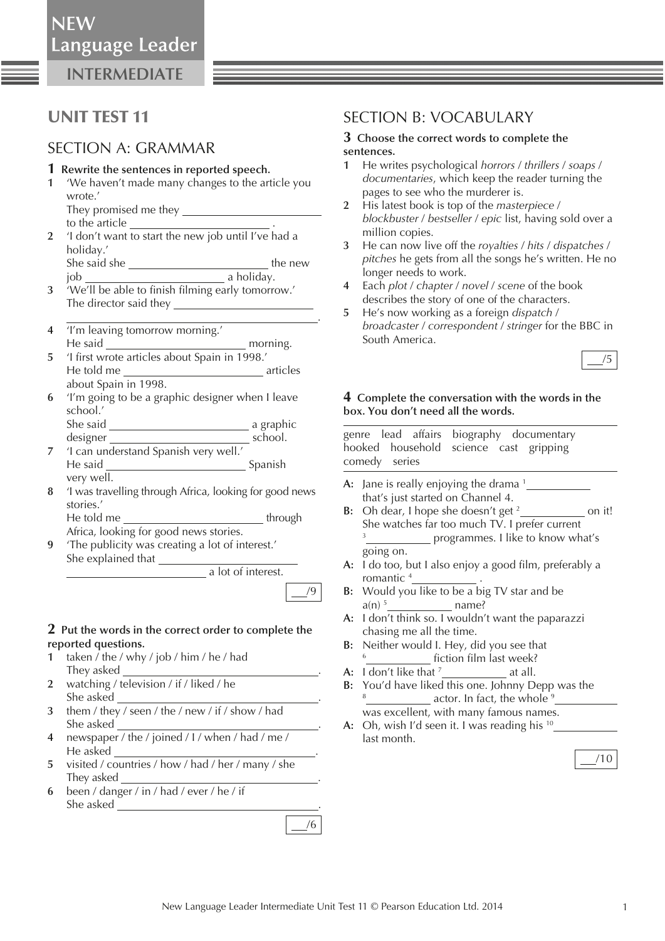**NEW**

**INTERMEDIATE**

# UNIT TEST 11

## SECTION A: GRAMMAR

#### **1 Rewrite the sentences in reported speech.**

- **1** 'We haven't made many changes to the article you wrote.'
	- They promised me they to the article
- **2** 'I don't want to start the new job until I've had a holiday.' She said she  $\_\_$
- job a holiday.
- **3** 'We'll be able to finish filming early tomorrow.' The director said they .
- **4** 'I'm leaving tomorrow morning.' He said morning.
- 5 'I first wrote articles about Spain in 1998.' He told me articles about Spain in 1998.
- **6** 'I'm going to be a graphic designer when I leave school.'
- She said a graphic designer school.
- **7** 'I can understand Spanish very well.' He said Spanish very well.
- **8** 'I was travelling through Africa, looking for good news stories.' He told me through

Africa, looking for good news stories.

 **9** 'The publicity was creating a lot of interest.' She explained that \_\_\_\_\_\_

**a** lot of interest.

/9

#### **2 Put the words in the correct order to complete the reported questions.**

- **1** taken / the / why / job / him / he / had They asked .
- **2** watching / television / if / liked / he She asked .
- **3** them / they / seen / the / new / if / show / had She asked .
- **4** newspaper / the / joined / I / when / had / me / He asked .
- **5** visited / countries / how / had / her / many / she They asked
- **6** been / danger / in / had / ever / he / if She asked  $\frac{1}{2}$

## SECTION B: VOCABULARY

#### **3 Choose the correct words to complete the sentences.**

- **1** He writes psychological *horrors* / *thrillers* / *soaps* / *documentaries* , which keep the reader turning the pages to see who the murderer is.
- **2** His latest book is top of the *masterpiece* / *blockbuster* / *bestseller* / *epic* list, having sold over a million copies.
- **3** He can now live off the *royalties* / *hits* / *dispatches* / *pitches* he gets from all the songs he's written. He no longer needs to work.
- **4** Each *plot* / *chapter* / *novel* / *scene* of the book describes the story of one of the characters.
- **5** He's now working as a foreign *dispatch* / *broadcaster* / *correspondent* / *stringer* for the BBC in South America.



#### **4 Complete the conversation with the words in the box. You don't need all the words.**

 genre lead affairs biography documentary hooked household science cast gripping comedy series

- A: Jane is really enjoying the drama <sup>1</sup> that's just started on Channel 4.
- **B:** Oh dear, I hope she doesn't get <sup>2</sup><sub>\_\_\_\_\_\_\_\_\_\_\_\_\_</sub> on it! She watches far too much TV. I prefer current 3 programmes. I like to know what's going on.
- A: I do too, but I also enjoy a good film, preferably a romantic <sup>4</sup> \_\_\_\_\_\_\_\_\_\_\_\_\_\_\_\_\_\_.
- **B:** Would you like to be a big TV star and be a(n) 5 name?
- **A:** I don't think so. I wouldn't want the paparazzi chasing me all the time.
- **B:** Neither would I. Hey, did you see that <sup>6</sup> \_\_\_\_\_\_\_\_\_\_\_\_\_\_ fiction film last week?
- **A:** I don't like that <sup>7</sup> \_\_\_\_\_\_\_\_\_\_\_\_\_\_\_\_\_\_ at all.
- **B:** You'd have liked this one. Johnny Depp was the <sup>8</sup> \_\_\_\_\_\_\_\_\_\_\_\_\_\_ actor. In fact, the whole <sup>9</sup> was excellent, with many famous names.
- **A:** Oh, wish I'd seen it. I was reading his 10 last month.

|--|

/6